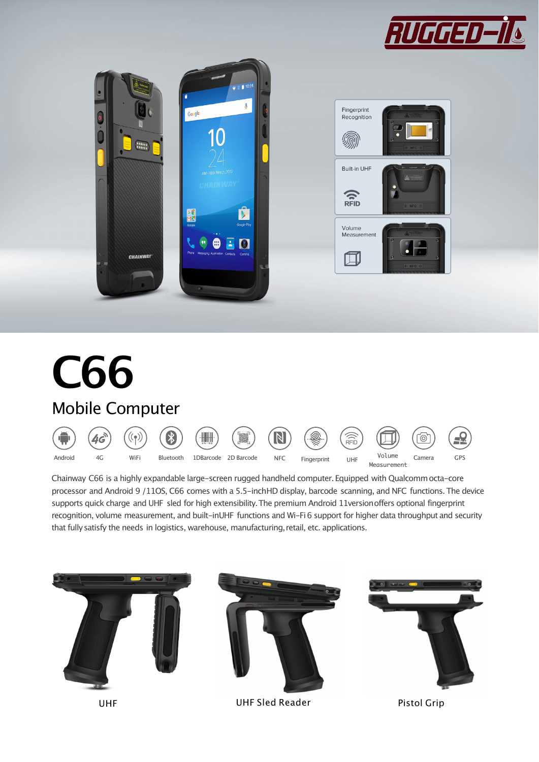



# **C66** Mobile Computer



Chainway C66 is a highly expandable large-screen rugged handheld computer.Equipped with Qualcommocta-core processor and Android 9 /11OS, C66 comes with a 5.5-inchHD display, barcode scanning, and NFC functions.The device supports quick charge and UHF sled for high extensibility.The premium Android 11versionoffers optional fingerprint recognition, volume measurement, and built-inUHF functions and Wi-Fi6 support for higher data throughput and security that fullysatisfy the needs in logistics, warehouse, manufacturing,retail, etc. applications.

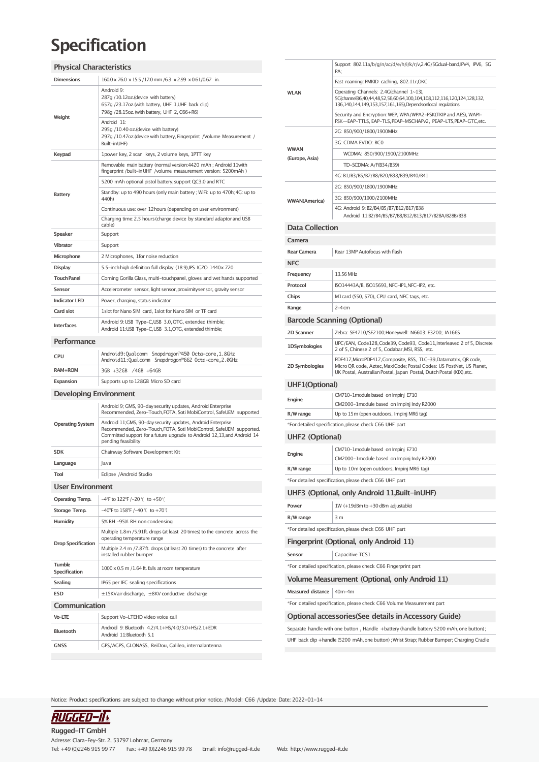### **Specification**

### **Physical Characteristics**

| <b>Dimensions</b>              | 160.0 x 76.0 x 15.5 /17.0 mm /6.3 x 2.99 x 0.61/0.67 in.                                                                                                                                                                             |  |  |
|--------------------------------|--------------------------------------------------------------------------------------------------------------------------------------------------------------------------------------------------------------------------------------|--|--|
| Weight                         | Android 9:<br>287g /10.12oz.(device with battery)<br>657g /23.17oz.(with battery, UHF 1,UHF back clip)<br>798q /28.15oz. (with battery, UHF 2, C66+R6)                                                                               |  |  |
|                                | Android 11:<br>295q /10.40 oz.(device with battery)<br>297g /10.47oz.(device with battery, Fingerprint /Volume Measurement /<br>Built-inUHF)                                                                                         |  |  |
| Keypad                         | 1power key, 2 scan keys, 2 volume keys, 1PTT key                                                                                                                                                                                     |  |  |
|                                | Removable main battery (normal version:4420 mAh; Android 11with<br>fingerprint /built-in UHF /volume measurement version: 5200mAh )                                                                                                  |  |  |
| <b>Battery</b>                 | 5200 mAh optional pistol battery, support QC3.0 and RTC                                                                                                                                                                              |  |  |
|                                | Standby: up to 490 hours (only main battery ; WiFi: up to 470h; 4G: up to<br>440h)                                                                                                                                                   |  |  |
|                                | Continuous use: over 12 hours (depending on user environment)                                                                                                                                                                        |  |  |
|                                | Charging time: 2.5 hours (charge device by standard adaptor and USB<br>cable)                                                                                                                                                        |  |  |
| Speaker                        | Support                                                                                                                                                                                                                              |  |  |
| <b>Vibrator</b>                | Support                                                                                                                                                                                                                              |  |  |
| Microphone                     | 2 Microphones, 1for noise reduction                                                                                                                                                                                                  |  |  |
| <b>Display</b>                 | 5.5-inch high definition full display (18:9), IPS IGZO 1440x 720                                                                                                                                                                     |  |  |
| <b>Touch Panel</b>             | Corning Gorilla Glass, multi-touchpanel, gloves and wet hands supported                                                                                                                                                              |  |  |
| Sensor                         | Accelerometer sensor, light sensor, proximity sensor, gravity sensor                                                                                                                                                                 |  |  |
| <b>Indicator LED</b>           | Power, charging, status indicator                                                                                                                                                                                                    |  |  |
| Card slot                      | 1slot for Nano SIM card, 1slot for Nano SIM or TF card                                                                                                                                                                               |  |  |
| <b>Interfaces</b>              | Android 9: USB Type-C,USB 3.0, OTG, extended thimble;<br>Android 11:USB Type-C, USB 3.1, OTG, extended thimble;                                                                                                                      |  |  |
| Performance                    |                                                                                                                                                                                                                                      |  |  |
| <b>CPU</b>                     | Android9:Qualcomm Snapdragon™450 Octa-core,1.8GHz<br>Android11:Qualcomm Snapdragon™662 Octa-core,2.0GHz                                                                                                                              |  |  |
| RAM+ROM                        | 3GB +32GB /4GB +64GB                                                                                                                                                                                                                 |  |  |
| Expansion                      | Supports up to 128GB Micro SD card                                                                                                                                                                                                   |  |  |
| <b>Developing Environment</b>  |                                                                                                                                                                                                                                      |  |  |
|                                | Android 9; GMS, 90-day security updates, Android Enterprise<br>Recommended, Zero-Touch, FOTA, Soti MobiControl, SafeUEM supported                                                                                                    |  |  |
|                                |                                                                                                                                                                                                                                      |  |  |
| <b>Operating System</b>        | Android 11;GMS, 90-day security updates, Android Enterprise<br>Recommended, Zero-Touch, FOTA, Soti MobiControl, SafeUEM supported.<br>Committed support for a future upgrade to Android 12,13, and Android 14<br>pending feasibility |  |  |
| <b>SDK</b>                     | Chainway Software Development Kit                                                                                                                                                                                                    |  |  |
| Language                       | Java                                                                                                                                                                                                                                 |  |  |
| <b>Tool</b>                    | Eclipse /Android Studio                                                                                                                                                                                                              |  |  |
| <b>User Environment</b>        |                                                                                                                                                                                                                                      |  |  |
| <b>Operating Temp.</b>         | -4°F to 122°F /-20 °( to +50 °)                                                                                                                                                                                                      |  |  |
| Storage Temp.                  | $-40^{\circ}$ F to $158^{\circ}$ F /-40 °( to +70°)                                                                                                                                                                                  |  |  |
| Humidity                       | 5% RH -95% RH non condensing                                                                                                                                                                                                         |  |  |
|                                | Multiple 1.8m / 5.91ft. drops (at least 20 times) to the concrete across the<br>operating temperature range                                                                                                                          |  |  |
| <b>Drop Specification</b>      | Multiple 2.4 m /7.87ft. drops (at least 20 times) to the concrete after<br>installed rubber bumper                                                                                                                                   |  |  |
| <b>Tumble</b><br>Specification | $1000 \times 0.5$ m $/1.64$ ft. falls at room temperature                                                                                                                                                                            |  |  |
| Sealing                        | IP65 per IEC sealing specifications                                                                                                                                                                                                  |  |  |
| ESD                            | ±15KVair discharge, ±8KV conductive discharge                                                                                                                                                                                        |  |  |
| Communication                  |                                                                                                                                                                                                                                      |  |  |
| Vo-LTE                         | Support Vo-LTEHD video voice call                                                                                                                                                                                                    |  |  |
| Bluetooth                      | Android 9: Bluetooth 4.2/4.1+HS/4.0/3.0+HS/2.1+EDR<br>Android 11:Bluetooth 5.1                                                                                                                                                       |  |  |
| <b>GNSS</b>                    | GPS/AGPS, GLONASS, BeiDou, Galileo, internalantenna                                                                                                                                                                                  |  |  |

| <b>WLAN</b>                        | Support 802.11a/b/g/n/ac/d/e/h/i/k/r/v,2.4G/5Gdual-band,IPV4, IPV6, 5G<br>PA:                                                                                                                                    |  |  |
|------------------------------------|------------------------------------------------------------------------------------------------------------------------------------------------------------------------------------------------------------------|--|--|
|                                    | Fast roaming: PMKID caching, 802.11r,OKC                                                                                                                                                                         |  |  |
|                                    | Operating Channels: 2.4G(channel 1~13),<br>5G(channel36,40,44,48,52,56,60,64,100,104,108,112,116,120,124,128,132,<br>136,140,144,149,153,157,161,165),Dependsonlocal regulations                                 |  |  |
| <b>WWAN</b><br>(Europe, Asia)      | Security and Encryption: WEP, WPA/WPA2-PSK(TKIP and AES), WAPI-<br>PSK-EAP-TTLS, EAP-TLS, PEAP-MSCHAPv2, PEAP-LTS, PEAP-GTC, etc.                                                                                |  |  |
|                                    | 2G: 850/900/1800/1900MHz                                                                                                                                                                                         |  |  |
|                                    | 3G: CDMA EVDO: BC0                                                                                                                                                                                               |  |  |
|                                    | WCDMA: 850/900/1900/2100MHz                                                                                                                                                                                      |  |  |
|                                    | TD-SCDMA: A/F(B34/B39)                                                                                                                                                                                           |  |  |
|                                    | 4G: B1/B3/B5/B7/B8/B20/B38/B39/B40/B41                                                                                                                                                                           |  |  |
|                                    | 2G: 850/900/1800/1900MHz                                                                                                                                                                                         |  |  |
|                                    | 3G: 850/900/1900/2100MHz                                                                                                                                                                                         |  |  |
| <b>WWAN(America)</b>               | 4G: Android 9: B2/B4/B5/B7/B12/B17/B38<br>Android 11:B2/B4/B5/B7/B8/B12/B13/B17/B28A/B28B/B38                                                                                                                    |  |  |
| <b>Data Collection</b>             |                                                                                                                                                                                                                  |  |  |
| Camera                             |                                                                                                                                                                                                                  |  |  |
| <b>Rear Camera</b>                 | Rear 13MP Autofocus with flash                                                                                                                                                                                   |  |  |
| <b>NFC</b>                         |                                                                                                                                                                                                                  |  |  |
| Frequency                          | 13.56 MHz                                                                                                                                                                                                        |  |  |
| Protocol                           | ISO14443A/B, ISO15693, NFC-IP1, NFC-IP2, etc.                                                                                                                                                                    |  |  |
| Chips                              | M1card (S50, S70), CPU card, NFC tags, etc.                                                                                                                                                                      |  |  |
| Range                              | $2-4$ cm                                                                                                                                                                                                         |  |  |
| <b>Barcode Scanning (Optional)</b> |                                                                                                                                                                                                                  |  |  |
| 2D Scanner                         | Zebra: SE4710/SE2100;Honeywell: N6603; E3200; IA166S                                                                                                                                                             |  |  |
|                                    | UPC/EAN, Code128, Code39, Code93, Code11, Interleaved 2 of 5, Discrete                                                                                                                                           |  |  |
| 1DSymbologies                      | 2 of 5, Chinese 2 of 5, Codabar, MSI, RSS, etc.                                                                                                                                                                  |  |  |
| 2D Symbologies                     | PDF417, MicroPDF417, Composite, RSS, TLC-39, Datamatrix, QR code,<br>Micro QR code, Aztec, MaxiCode; Postal Codes: US PostNet, US Planet,<br>UK Postal, Australian Postal, Japan Postal, Dutch Postal (KIX),etc. |  |  |
| UHF1(Optional)                     |                                                                                                                                                                                                                  |  |  |
| Engine                             | CM710-1module based on Impinj E710<br>CM2000-1module based on Impinj Indy R2000                                                                                                                                  |  |  |
| R/W range                          | Up to 15m (open outdoors, Impinj MR6 tag)                                                                                                                                                                        |  |  |
|                                    | *For detailed specification, please check C66 UHF part                                                                                                                                                           |  |  |
| <b>UHF2 (Optional)</b>             |                                                                                                                                                                                                                  |  |  |
|                                    |                                                                                                                                                                                                                  |  |  |
|                                    | CM710-1module based on Impinj E710                                                                                                                                                                               |  |  |
| Engine                             | CM2000-1module based on Impinj Indy R2000                                                                                                                                                                        |  |  |
| R/W range                          | Up to 10m (open outdoors, Impinj MR6 tag)                                                                                                                                                                        |  |  |
|                                    | *For detailed specification, please check C66 UHF part                                                                                                                                                           |  |  |
|                                    | UHF3 (Optional, only Android 11, Built-in UHF)                                                                                                                                                                   |  |  |
| Power                              | 1W (+19dBm to +30 dBm adjustable)                                                                                                                                                                                |  |  |
| R/W range                          | 3 m                                                                                                                                                                                                              |  |  |
|                                    | *For detailed specification, please check C66 UHF part                                                                                                                                                           |  |  |
|                                    | Fingerprint (Optional, only Android 11)                                                                                                                                                                          |  |  |
| Sensor                             | Capacitive TCS1                                                                                                                                                                                                  |  |  |
|                                    | *For detailed specification, please check C66 Fingerprint part                                                                                                                                                   |  |  |
|                                    |                                                                                                                                                                                                                  |  |  |
|                                    | Volume Measurement (Optional, only Android 11)                                                                                                                                                                   |  |  |
| <b>Measured distance</b>           | 40m-4m                                                                                                                                                                                                           |  |  |
|                                    | *For detailed specification, please check C66 Volume Measurement part                                                                                                                                            |  |  |
|                                    | Optional accessories (See details in Accessory Guide)                                                                                                                                                            |  |  |
|                                    | Separate handle with one button; Handle +battery (handle battery 5200 mAh, one button);                                                                                                                          |  |  |

Notice: Product specifications are subject to change without prior notice. /Model: C66 /Update Date: 2022-01-14